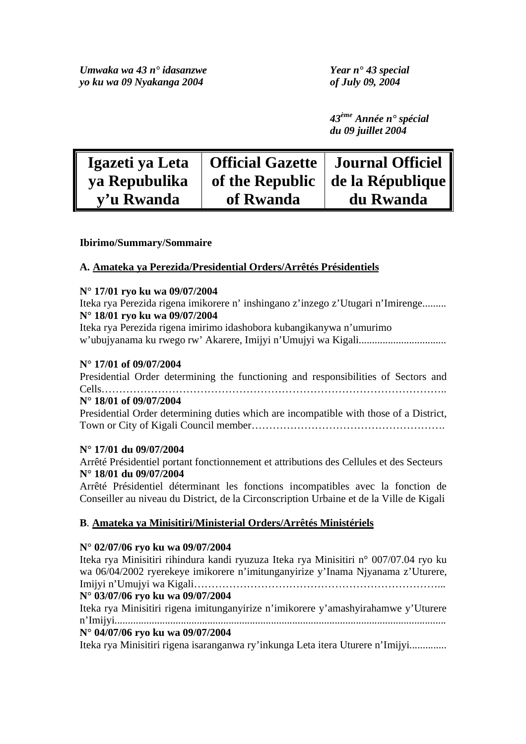*43ème Année n° spécial du 09 juillet 2004* 

| Igazeti ya Leta | Official Gazette   Journal Officiel |                                          |
|-----------------|-------------------------------------|------------------------------------------|
| ya Repubulika   |                                     | of the Republic $\vert$ de la République |
| v'u Rwanda      | of Rwanda                           | du Rwanda                                |

## **Ibirimo/Summary/Sommaire**

# **A. Amateka ya Perezida/Presidential Orders/Arrêtés Présidentiels**

#### **N° 17/01 ryo ku wa 09/07/2004**

Iteka rya Perezida rigena imikorere n' inshingano z'inzego z'Utugari n'Imirenge......... **N° 18/01 ryo ku wa 09/07/2004** 

Iteka rya Perezida rigena imirimo idashobora kubangikanywa n'umurimo w'ubujyanama ku rwego rw' Akarere, Imijyi n'Umujyi wa Kigali.................................

#### **N° 17/01 of 09/07/2004**

Presidential Order determining the functioning and responsibilities of Sectors and Cells……………………………………………………………………………………..

## **N° 18/01 of 09/07/2004**

Presidential Order determining duties which are incompatible with those of a District, Town or City of Kigali Council member……………………………………………….

### **N° 17/01 du 09/07/2004**

Arrêté Présidentiel portant fonctionnement et attributions des Cellules et des Secteurs **N° 18/01 du 09/07/2004** 

Arrêté Présidentiel déterminant les fonctions incompatibles avec la fonction de Conseiller au niveau du District, de la Circonscription Urbaine et de la Ville de Kigali

### **B**. **Amateka ya Minisitiri/Ministerial Orders/Arrêtés Ministériels**

### **N° 02/07/06 ryo ku wa 09/07/2004**

Iteka rya Minisitiri rihindura kandi ryuzuza Iteka rya Minisitiri n° 007/07.04 ryo ku wa 06/04/2002 ryerekeye imikorere n'imitunganyirize y'Inama Njyanama z'Uturere, Imijyi n'Umujyi wa Kigali……………………………………………………………... **N° 03/07/06 ryo ku wa 09/07/2004**  Iteka rya Minisitiri rigena imitunganyirize n'imikorere y'amashyirahamwe y'Uturere n'Imijyi............................................................................................................................. **N° 04/07/06 ryo ku wa 09/07/2004**  Iteka rya Minisitiri rigena isaranganwa ry'inkunga Leta itera Uturere n'Imijyi..............